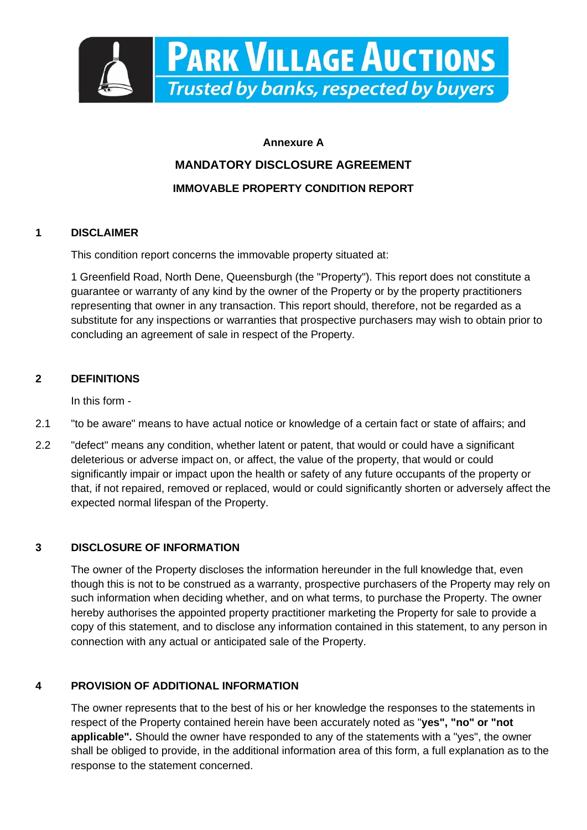

# **Annexure A MANDATORY DISCLOSURE AGREEMENT IMMOVABLE PROPERTY CONDITION REPORT**

# **1 DISCLAIMER**

This condition report concerns the immovable property situated at:

1 Greenfield Road, North Dene, Queensburgh (the "Property"). This report does not constitute a guarantee or warranty of any kind by the owner of the Property or by the property practitioners representing that owner in any transaction. This report should, therefore, not be regarded as a substitute for any inspections or warranties that prospective purchasers may wish to obtain prior to concluding an agreement of sale in respect of the Property.

# **2 DEFINITIONS**

In this form -

- 2.1 "to be aware" means to have actual notice or knowledge of a certain fact or state of affairs; and
- 2.2 "defect" means any condition, whether latent or patent, that would or could have a significant deleterious or adverse impact on, or affect, the value of the property, that would or could significantly impair or impact upon the health or safety of any future occupants of the property or that, if not repaired, removed or replaced, would or could significantly shorten or adversely affect the expected normal lifespan of the Property.

# **3 DISCLOSURE OF INFORMATION**

The owner of the Property discloses the information hereunder in the full knowledge that, even though this is not to be construed as a warranty, prospective purchasers of the Property may rely on such information when deciding whether, and on what terms, to purchase the Property. The owner hereby authorises the appointed property practitioner marketing the Property for sale to provide a copy of this statement, and to disclose any information contained in this statement, to any person in connection with any actual or anticipated sale of the Property.

# **4 PROVISION OF ADDITIONAL INFORMATION**

The owner represents that to the best of his or her knowledge the responses to the statements in respect of the Property contained herein have been accurately noted as "**yes", "no" or "not applicable".** Should the owner have responded to any of the statements with a "yes", the owner shall be obliged to provide, in the additional information area of this form, a full explanation as to the response to the statement concerned.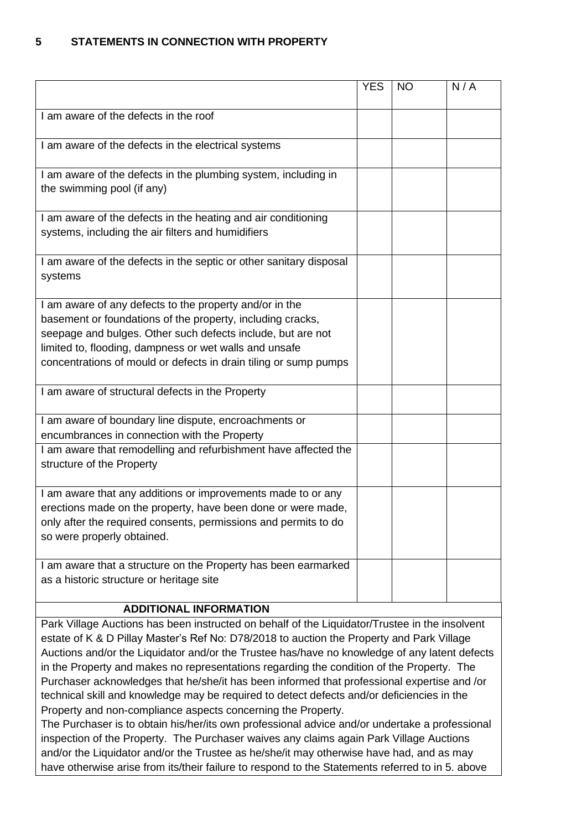## **5 STATEMENTS IN CONNECTION WITH PROPERTY**

|                                                                                                                                                                                                                                                                                                                    | <b>YES</b> | <b>NO</b> | N/A |
|--------------------------------------------------------------------------------------------------------------------------------------------------------------------------------------------------------------------------------------------------------------------------------------------------------------------|------------|-----------|-----|
| I am aware of the defects in the roof                                                                                                                                                                                                                                                                              |            |           |     |
| I am aware of the defects in the electrical systems                                                                                                                                                                                                                                                                |            |           |     |
| I am aware of the defects in the plumbing system, including in<br>the swimming pool (if any)                                                                                                                                                                                                                       |            |           |     |
| I am aware of the defects in the heating and air conditioning<br>systems, including the air filters and humidifiers                                                                                                                                                                                                |            |           |     |
| I am aware of the defects in the septic or other sanitary disposal<br>systems                                                                                                                                                                                                                                      |            |           |     |
| I am aware of any defects to the property and/or in the<br>basement or foundations of the property, including cracks,<br>seepage and bulges. Other such defects include, but are not<br>limited to, flooding, dampness or wet walls and unsafe<br>concentrations of mould or defects in drain tiling or sump pumps |            |           |     |
| I am aware of structural defects in the Property                                                                                                                                                                                                                                                                   |            |           |     |
| I am aware of boundary line dispute, encroachments or<br>encumbrances in connection with the Property                                                                                                                                                                                                              |            |           |     |
| I am aware that remodelling and refurbishment have affected the<br>structure of the Property                                                                                                                                                                                                                       |            |           |     |
| I am aware that any additions or improvements made to or any<br>erections made on the property, have been done or were made,<br>only after the required consents, permissions and permits to do<br>so were properly obtained.                                                                                      |            |           |     |
| I am aware that a structure on the Property has been earmarked<br>as a historic structure or heritage site                                                                                                                                                                                                         |            |           |     |

### **ADDITIONAL INFORMATION**

Park Village Auctions has been instructed on behalf of the Liquidator/Trustee in the insolvent estate of K & D Pillay Master's Ref No: D78/2018 to auction the Property and Park Village Auctions and/or the Liquidator and/or the Trustee has/have no knowledge of any latent defects in the Property and makes no representations regarding the condition of the Property. The Purchaser acknowledges that he/she/it has been informed that professional expertise and /or technical skill and knowledge may be required to detect defects and/or deficiencies in the Property and non-compliance aspects concerning the Property.

The Purchaser is to obtain his/her/its own professional advice and/or undertake a professional inspection of the Property. The Purchaser waives any claims again Park Village Auctions and/or the Liquidator and/or the Trustee as he/she/it may otherwise have had, and as may have otherwise arise from its/their failure to respond to the Statements referred to in 5. above